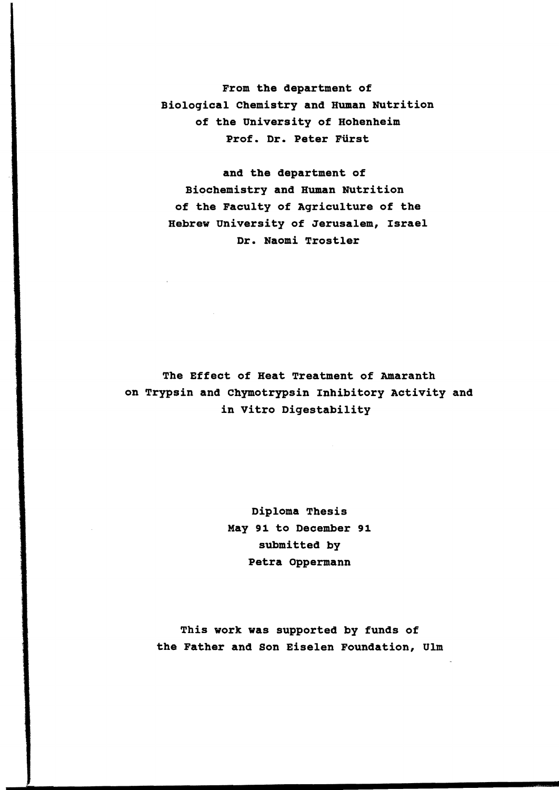From the department of Biological Chemistry and Human Nutrition of the university of Hohenheim Prof. Dr. Peter Fürst

and the department of Biochemistry and Human Nutrition of the Faculty of Agriculture of the Hebrew University of Jerusalem, Israel Dr. Naomi Trostler

The Effect of Heat Treatment of Amaranth on Trypsin and chymotrypsin Inhibitory Activity and in Vitro Digestability

> Diploma Thesis May 91 to December 91 submitted by Petra Oppermann

This work was supported by funds of the Father and Son Eiselen Foundation, Ulm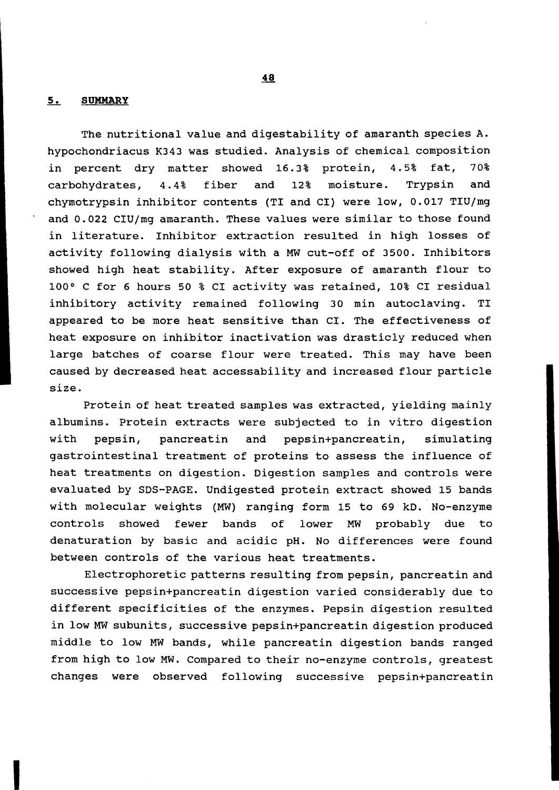## **5. SUMMARY**

The nutritional value and digestability of amaranth species A. hypochondriacus K343 was studied. Analysis of chemical composition in percent dry matter showed 16.3% protein, 4.5% fat, 70% carbohydrates, 4.4% fiber and 12% moisture. Trypsin and chymotrypsin inhibitor contents (TI and CI) were low, 0.017 TIU/mg and 0.022 CIU/mg amaranth. These values were similar to those found in literature. Inhibitor extraction resulted in high losses of activity following dialysis with a MW cut-off of 3500. Inhibitors showed high heat stability. After exposure of amaranth flour to 100 0 C for 6 hours 50 % CI activity was retained, 10% CI residual inhibitory activity remained following 30 min autoclaving. TI appeared to be more heat sensitive than CI. The effectiveness of heat exposure on inhibitor inactivation was drasticly reduced when large batches of coarse flour were treated. This may have been caused by decreased heat accessability and increased flour particle size.

Protein of heat treated samples was extracted, yielding mainly albumins. Protein extracts were subjected to in vitro digestion with pepsin, pancreatin and pepsin+pancreatin, simulating gastrointestinal treatment of proteins to assess the influence of heat treatments on digestion. Digestion samples and controls were evaluated by SOS-PAGE. Undigested protein extract showed 15 bands with molecular weights (MW) ranging form 15 to 69 kD. No-enzyme controls showed fewer bands of lower MW probably due to denaturation by basic and acidic pH. No differences were found between controls of the various heat treatments.

Electrophoretic patterns resulting from pepsin, pancreatin and successive pepsin+pancreatin digestion varied considerably due to different specificities of the enzymes. Pepsin digestion resulted in low MW sUbunits, successive pepsin+pancreatin digestion produced middle to low MW bands, while pancreatin digestion bands ranged from high to low MW. Compared to their no-enzyme controls, greatest changes were observed following successive pepsin+pancreatin